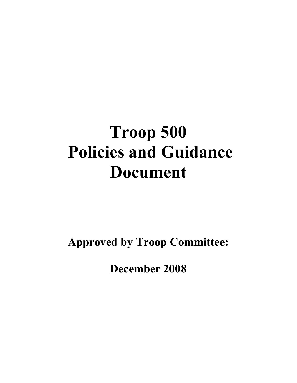# Troop 500 Policies and Guidance Document

Approved by Troop Committee:

December 2008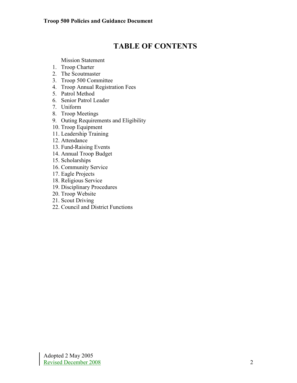# TABLE OF CONTENTS

Mission Statement

- 1. Troop Charter
- 2. The Scoutmaster
- 3. Troop 500 Committee
- 4. Troop Annual Registration Fees
- 5. Patrol Method
- 6. Senior Patrol Leader
- 7. Uniform
- 8. Troop Meetings
- 9. Outing Requirements and Eligibility
- 10. Troop Equipment
- 11. Leadership Training
- 12. Attendance
- 13. Fund-Raising Events
- 14. Annual Troop Budget
- 15. Scholarships
- 16. Community Service
- 17. Eagle Projects
- 18. Religious Service
- 19. Disciplinary Procedures
- 20. Troop Website
- 21. Scout Driving
- 22. Council and District Functions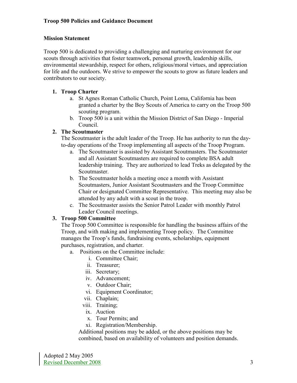#### Mission Statement

Troop 500 is dedicated to providing a challenging and nurturing environment for our scouts through activities that foster teamwork, personal growth, leadership skills, environmental stewardship, respect for others, religious/moral virtues, and appreciation for life and the outdoors. We strive to empower the scouts to grow as future leaders and contributors to our society.

#### 1. Troop Charter

- a. St Agnes Roman Catholic Church, Point Loma, California has been granted a charter by the Boy Scouts of America to carry on the Troop 500 scouting program.
- b. Troop 500 is a unit within the Mission District of San Diego Imperial Council.

#### 2. The Scoutmaster

The Scoutmaster is the adult leader of the Troop. He has authority to run the dayto-day operations of the Troop implementing all aspects of the Troop Program.

- a. The Scoutmaster is assisted by Assistant Scoutmasters. The Scoutmaster and all Assistant Scoutmasters are required to complete BSA adult leadership training. They are authorized to lead Treks as delegated by the Scoutmaster.
- b. The Scoutmaster holds a meeting once a month with Assistant Scoutmasters, Junior Assistant Scoutmasters and the Troop Committee Chair or designated Committee Representative. This meeting may also be attended by any adult with a scout in the troop.
- c. The Scoutmaster assists the Senior Patrol Leader with monthly Patrol Leader Council meetings.

#### 3. Troop 500 Committee

The Troop 500 Committee is responsible for handling the business affairs of the Troop, and with making and implementing Troop policy. The Committee manages the Troop's funds, fundraising events, scholarships, equipment purchases, registration, and charter.

- a. Positions on the Committee include:
	- i. Committee Chair;
	- ii. Treasurer;
	- iii. Secretary;
	- iv. Advancement;
	- v. Outdoor Chair;
	- vi. Equipment Coordinator;
	- vii. Chaplain;
	- viii. Training;
	- ix. Auction
	- x. Tour Permits; and
	- xi. Registration/Membership.

Additional positions may be added, or the above positions may be combined, based on availability of volunteers and position demands.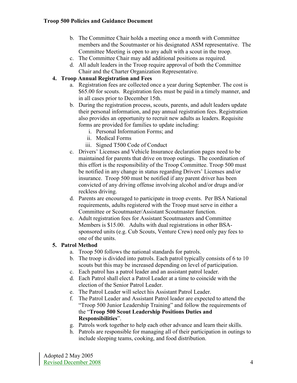- b. The Committee Chair holds a meeting once a month with Committee members and the Scoutmaster or his designated ASM representative. The Committee Meeting is open to any adult with a scout in the troop.
- c. The Committee Chair may add additional positions as required.
- d. All adult leaders in the Troop require approval of both the Committee Chair and the Charter Organization Representative.

# 4. Troop Annual Registration and Fees

- a. Registration fees are collected once a year during September. The cost is \$65.00 for scouts. Registration fees must be paid in a timely manner, and in all cases prior to December 15th.
- b. During the registration process, scouts, parents, and adult leaders update their personal information, and pay annual registration fees. Registration also provides an opportunity to recruit new adults as leaders. Requisite forms are provided for families to update including:
	- i. Personal Information Forms; and
	- ii. Medical Forms
	- iii. Signed T500 Code of Conduct
- c. Drivers' Licenses and Vehicle Insurance declaration pages need to be maintained for parents that drive on troop outings. The coordination of this effort is the responsibility of the Troop Committee. Troop 500 must be notified in any change in status regarding Drivers' Licenses and/or insurance. Troop 500 must be notified if any parent driver has been convicted of any driving offense involving alcohol and/or drugs and/or reckless driving.
- d. Parents are encouraged to participate in troop events. Per BSA National requirements, adults registered with the Troop must serve in either a Committee or Scoutmaster/Assistant Scoutmaster function.
- e. Adult registration fees for Assistant Scoutmasters and Committee Members is \$15.00. Adults with dual registrations in other BSAsponsored units (e.g. Cub Scouts, Venture Crew) need only pay fees to one of the units.

#### 5. Patrol Method

- a. Troop 500 follows the national standards for patrols.
- b. The troop is divided into patrols. Each patrol typically consists of 6 to 10 scouts but this may be increased depending on level of participation.
- c. Each patrol has a patrol leader and an assistant patrol leader.
- d. Each Patrol shall elect a Patrol Leader at a time to coincide with the election of the Senior Patrol Leader.
- e. The Patrol Leader will select his Assistant Patrol Leader.
- f. The Patrol Leader and Assistant Patrol leader are expected to attend the "Troop 500 Junior Leadership Training" and follow the requirements of the "Troop 500 Scout Leadership Positions Duties and Responsibilities".
- g. Patrols work together to help each other advance and learn their skills.
- h. Patrols are responsible for managing all of their participation in outings to include sleeping teams, cooking, and food distribution.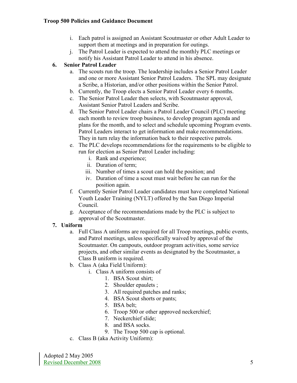#### Troop 500 Policies and Guidance Document

- i. Each patrol is assigned an Assistant Scoutmaster or other Adult Leader to support them at meetings and in preparation for outings.
- j. The Patrol Leader is expected to attend the monthly PLC meetings or notify his Assistant Patrol Leader to attend in his absence.

# 6. Senior Patrol Leader

- a. The scouts run the troop. The leadership includes a Senior Patrol Leader and one or more Assistant Senior Patrol Leaders. The SPL may designate a Scribe, a Historian, and/or other positions within the Senior Patrol.
- b. Currently, the Troop elects a Senior Patrol Leader every 6 months.
- c. The Senior Patrol Leader then selects, with Scoutmaster approval, Assistant Senior Patrol Leaders and Scribe.
- d. The Senior Patrol Leader chairs a Patrol Leader Council (PLC) meeting each month to review troop business, to develop program agenda and plans for the month, and to select and schedule upcoming Program events. Patrol Leaders interact to get information and make recommendations. They in turn relay the information back to their respective patrols.
- e. The PLC develops recommendations for the requirements to be eligible to run for election as Senior Patrol Leader including:
	- i. Rank and experience;
	- ii. Duration of term;
	- iii. Number of times a scout can hold the position; and
	- iv. Duration of time a scout must wait before he can run for the position again.
- f. Currently Senior Patrol Leader candidates must have completed National Youth Leader Training (NYLT) offered by the San Diego Imperial Council.
- g. Acceptance of the recommendations made by the PLC is subject to approval of the Scoutmaster.

#### 7. Uniform

- a. Full Class A uniforms are required for all Troop meetings, public events, and Patrol meetings, unless specifically waived by approval of the Scoutmaster. On campouts, outdoor program activities, some service projects, and other similar events as designated by the Scoutmaster, a Class B uniform is required.
- b. Class A (aka Field Uniform):
	- i. Class A uniform consists of
		- 1. BSA Scout shirt;
		- 2. Shoulder epaulets ;
		- 3. All required patches and ranks;
		- 4. BSA Scout shorts or pants;
		- 5. BSA belt;
		- 6. Troop 500 or other approved neckerchief;
		- 7. Neckerchief slide;
		- 8. and BSA socks.
		- 9. The Troop 500 cap is optional.
- c. Class B (aka Activity Uniform):

Adopted 2 May 2005 Revised December 2008 5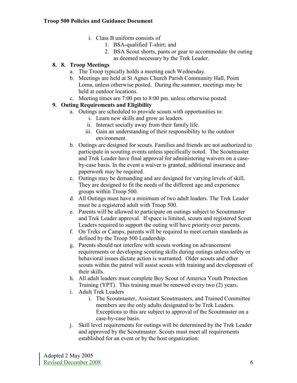- i. Class B uniform consists of
	- 1. BSA-qualified T-shirt; and
	- 2. BSA Scout shorts, pants or gear to accommodate the outing as deemed necessary by the Trek Leader.

#### 8. 8. Troop Meetings

- a. The Troop typically holds a meeting each Wednesday.
- b. Meetings are held at St Agnes Church Parish Community Hall, Point Loma, unless otherwise posted. During the summer, meetings may be held at outdoor locations.
- c. Meeting times are 7:00 pm to 8:00 pm. unless otherwise posted.

# 9. Outing Requirements and Eligibility

- a. Outings are scheduled to provide scouts with opportunities to:
	- i. Learn new skills and grow as leaders.
	- ii. Interact socially away from their family life.
	- iii. Gain an understanding of their responsibility to the outdoor environment.
- b. Outings are designed for scouts. Families and friends are not authorized to participate in scouting events unless specifically noted. The Scoutmaster and Trek Leader have final approval for administering waivers on a caseby-case basis. In the event a waiver is granted, additional insurance and paperwork may be required.
- c. Outings may be demanding and are designed for varying levels of skill. They are designed to fit the needs of the different age and experience groups within Troop 500.
- d. All Outings must have a minimum of two adult leaders. The Trek Leader must be a registered adult with Troop 500.
- e. Parents will be allowed to participate on outings subject to Scoutmaster and Trek Leader approval. If space is limited, scouts and registered Scout Leaders required to support the outing will have priority over parents.
- f. On Treks or Camps, parents will be required to meet certain standards as defined by the Troop 500 Leadership.
- g. Parents should not interfere with scouts working on advancement requirements or developing scouting skills during outings unless safety or behavioral issues dictate action is warranted. Older scouts and other scouts within the patrol will assist scouts with training and development of their skills.
- h. All adult leaders must complete Boy Scout of America Youth Protection Training (YPT). This training must be renewed every two (2) years.
- i. Adult Trek Leaders
	- i. The Scoutmaster, Assistant Scoutmasters, and Trained Committee members are the only adults designated to be Trek Leaders. Exceptions to this are subject to approval of the Scoutmaster on a case-by-case basis.
- j. Skill level requirements for outings will be determined by the Trek Leader and approved by the Scoutmaster. Scouts must meet all requirements established for an event or by the host organization: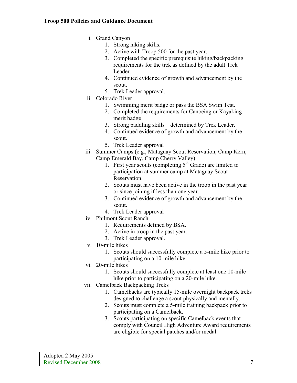#### Troop 500 Policies and Guidance Document

- i. Grand Canyon
	- 1. Strong hiking skills.
	- 2. Active with Troop 500 for the past year.
	- 3. Completed the specific prerequisite hiking/backpacking requirements for the trek as defined by the adult Trek Leader.
	- 4. Continued evidence of growth and advancement by the scout.
	- 5. Trek Leader approval.
- ii. Colorado River
	- 1. Swimming merit badge or pass the BSA Swim Test.
	- 2. Completed the requirements for Canoeing or Kayaking merit badge
	- 3. Strong paddling skills determined by Trek Leader.
	- 4. Continued evidence of growth and advancement by the scout.
	- 5. Trek Leader approval
- iii. Summer Camps (e.g., Mataguay Scout Reservation, Camp Kern, Camp Emerald Bay, Camp Cherry Valley)
	- 1. First year scouts (completing  $5<sup>th</sup>$  Grade) are limited to participation at summer camp at Mataguay Scout Reservation.
	- 2. Scouts must have been active in the troop in the past year or since joining if less than one year.
	- 3. Continued evidence of growth and advancement by the scout.
	- 4. Trek Leader approval
- iv. Philmont Scout Ranch
	- 1. Requirements defined by BSA.
	- 2. Active in troop in the past year.
	- 3. Trek Leader approval.
- v. 10-mile hikes
	- 1. Scouts should successfully complete a 5-mile hike prior to participating on a 10-mile hike.
- vi. 20-mile hikes
	- 1. Scouts should successfully complete at least one 10-mile hike prior to participating on a 20-mile hike.
- vii. Camelback Backpacking Treks
	- 1. Camelbacks are typically 15-mile overnight backpack treks designed to challenge a scout physically and mentally.
	- 2. Scouts must complete a 5-mile training backpack prior to participating on a Camelback.
	- 3. Scouts participating on specific Camelback events that comply with Council High Adventure Award requirements are eligible for special patches and/or medal.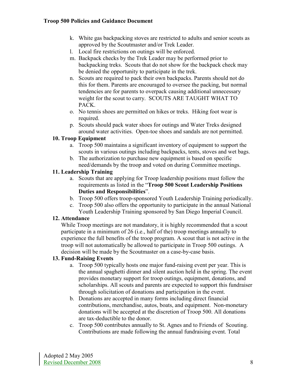- k. White gas backpacking stoves are restricted to adults and senior scouts as approved by the Scoutmaster and/or Trek Leader.
- l. Local fire restrictions on outings will be enforced.
- m. Backpack checks by the Trek Leader may be performed prior to backpacking treks. Scouts that do not show for the backpack check may be denied the opportunity to participate in the trek.
- n. Scouts are required to pack their own backpacks. Parents should not do this for them. Parents are encouraged to oversee the packing, but normal tendencies are for parents to overpack causing additional unnecessary weight for the scout to carry. SCOUTS ARE TAUGHT WHAT TO PACK.
- o. No tennis shoes are permitted on hikes or treks. Hiking foot wear is required.
- p. Scouts should pack water shoes for outings and Water Treks designed around water activities. Open-toe shoes and sandals are not permitted.

#### 10. Troop Equipment

- a. Troop 500 maintains a significant inventory of equipment to support the scouts in various outings including backpacks, tents, stoves and wet bags.
- b. The authorization to purchase new equipment is based on specific need/demands by the troop and voted on during Committee meetings.

#### 11. Leadership Training

- a. Scouts that are applying for Troop leadership positions must follow the requirements as listed in the "Troop 500 Scout Leadership Positions Duties and Responsibilities".
- b. Troop 500 offers troop-sponsored Youth Leadership Training periodically.
- c. Troop 500 also offers the opportunity to participate in the annual National Youth Leadership Training sponsored by San Diego Imperial Council.

#### 12. Attendance

While Troop meetings are not mandatory, it is highly recommended that a scout participate in a minimum of 26 (i.e., half of the) troop meetings annually to experience the full benefits of the troop program. A scout that is not active in the troop will not automatically be allowed to participate in Troop 500 outings. A decision will be made by the Scoutmaster on a case-by-case basis.

#### 13. Fund-Raising Events

- a. Troop 500 typically hosts one major fund-raising event per year. This is the annual spaghetti dinner and silent auction held in the spring. The event provides monetary support for troop outings, equipment, donations, and scholarships. All scouts and parents are expected to support this fundraiser through solicitation of donations and participation in the event.
- b. Donations are accepted in many forms including direct financial contributions, merchandise, autos, boats, and equipment. Non-monetary donations will be accepted at the discretion of Troop 500. All donations are tax-deductible to the donor.
- c. Troop 500 contributes annually to St. Agnes and to Friends of Scouting. Contributions are made following the annual fundraising event. Total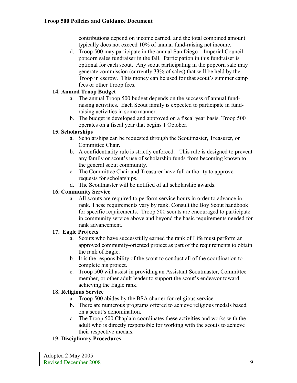contributions depend on income earned, and the total combined amount typically does not exceed 10% of annual fund-raising net income.

d. Troop 500 may participate in the annual San Diego – Imperial Council popcorn sales fundraiser in the fall. Participation in this fundraiser is optional for each scout. Any scout participating in the popcorn sale may generate commission (currently 33% of sales) that will be held by the Troop in escrow. This money can be used for that scout's summer camp fees or other Troop fees.

# 14. Annual Troop Budget

- a. The annual Troop 500 budget depends on the success of annual fundraising activities. Each Scout family is expected to participate in fundraising activities in some manner.
- b. The budget is developed and approved on a fiscal year basis. Troop 500 operates on a fiscal year that begins 1 October.

# 15. Scholarships

- a. Scholarships can be requested through the Scoutmaster, Treasurer, or Committee Chair.
- b. A confidentiality rule is strictly enforced. This rule is designed to prevent any family or scout's use of scholarship funds from becoming known to the general scout community.
- c. The Committee Chair and Treasurer have full authority to approve requests for scholarships.
- d. The Scoutmaster will be notified of all scholarship awards.

#### 16. Community Service

a. All scouts are required to perform service hours in order to advance in rank. These requirements vary by rank. Consult the Boy Scout handbook for specific requirements. Troop 500 scouts are encouraged to participate in community service above and beyond the basic requirements needed for rank advancement.

# 17. Eagle Projects

- a. Scouts who have successfully earned the rank of Life must perform an approved community-oriented project as part of the requirements to obtain the rank of Eagle.
- b. It is the responsibility of the scout to conduct all of the coordination to complete his project.
- c. Troop 500 will assist in providing an Assistant Scoutmaster, Committee member, or other adult leader to support the scout's endeavor toward achieving the Eagle rank.

#### 18. Religious Service

- a. Troop 500 abides by the BSA charter for religious service.
- b. There are numerous programs offered to achieve religious medals based on a scout's denomination.
- c. The Troop 500 Chaplain coordinates these activities and works with the adult who is directly responsible for working with the scouts to achieve their respective medals.

#### 19. Disciplinary Procedures

Adopted 2 May 2005 Revised December 2008 9